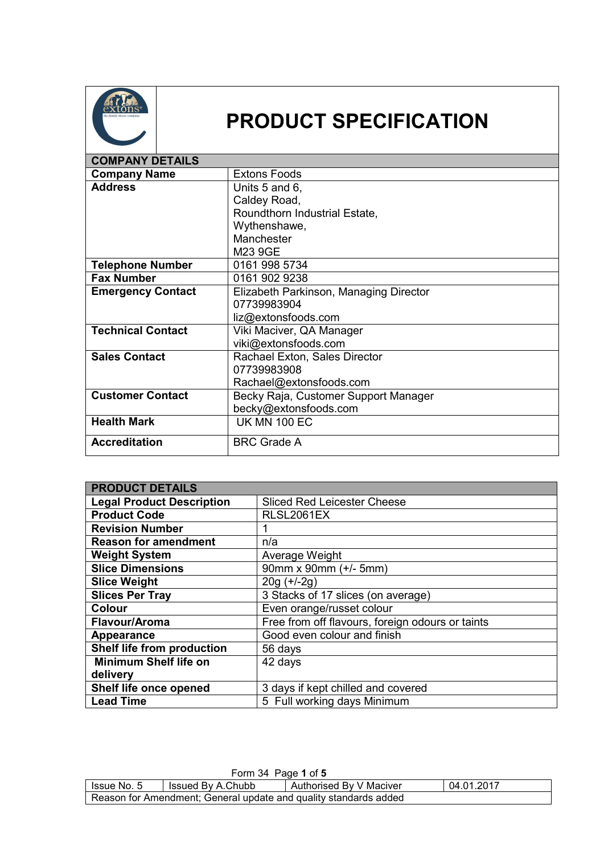

## **PRODUCT SPECIFICATION**

| <b>COMPANY DETAILS</b>   |                                        |
|--------------------------|----------------------------------------|
| <b>Company Name</b>      | <b>Extons Foods</b>                    |
| <b>Address</b>           | Units 5 and 6,                         |
|                          | Caldey Road,                           |
|                          | Roundthorn Industrial Estate,          |
|                          | Wythenshawe,                           |
|                          | Manchester                             |
|                          | M23 9GE                                |
| <b>Telephone Number</b>  | 0161 998 5734                          |
| <b>Fax Number</b>        | 0161 902 9238                          |
| <b>Emergency Contact</b> | Elizabeth Parkinson, Managing Director |
|                          | 07739983904                            |
|                          | liz@extonsfoods.com                    |
| <b>Technical Contact</b> | Viki Maciver, QA Manager               |
|                          | viki@extonsfoods.com                   |
| <b>Sales Contact</b>     | Rachael Exton, Sales Director          |
|                          | 07739983908                            |
|                          | Rachael@extonsfoods.com                |
| <b>Customer Contact</b>  | Becky Raja, Customer Support Manager   |
|                          | becky@extonsfoods.com                  |
| <b>Health Mark</b>       | <b>UK MN 100 EC</b>                    |
| <b>Accreditation</b>     | <b>BRC Grade A</b>                     |

| <b>PRODUCT DETAILS</b>           |                                                  |
|----------------------------------|--------------------------------------------------|
| <b>Legal Product Description</b> | <b>Sliced Red Leicester Cheese</b>               |
| <b>Product Code</b>              | RLSL2061EX                                       |
| <b>Revision Number</b>           |                                                  |
| <b>Reason for amendment</b>      | n/a                                              |
| <b>Weight System</b>             | Average Weight                                   |
| <b>Slice Dimensions</b>          | 90mm x 90mm (+/- 5mm)                            |
| <b>Slice Weight</b>              | $20g (+/-2g)$                                    |
| <b>Slices Per Tray</b>           | 3 Stacks of 17 slices (on average)               |
| Colour                           | Even orange/russet colour                        |
| Flavour/Aroma                    | Free from off flavours, foreign odours or taints |
| Appearance                       | Good even colour and finish                      |
| Shelf life from production       | 56 days                                          |
| <b>Minimum Shelf life on</b>     | 42 days                                          |
| delivery                         |                                                  |
| Shelf life once opened           | 3 days if kept chilled and covered               |
| <b>Lead Time</b>                 | 5 Full working days Minimum                      |

| Form 34 Page 1 of 5                                              |                   |                         |            |
|------------------------------------------------------------------|-------------------|-------------------------|------------|
| I Issue No. 5                                                    | Issued By A.Chubb | Authorised By V Maciver | 04.01.2017 |
| Reason for Amendment; General update and quality standards added |                   |                         |            |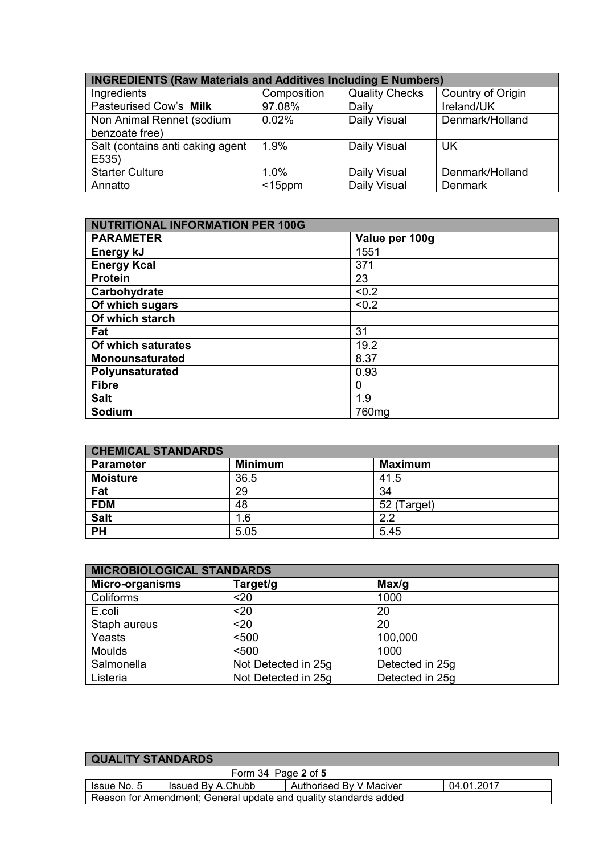| <b>INGREDIENTS (Raw Materials and Additives Including E Numbers)</b> |             |                       |                   |
|----------------------------------------------------------------------|-------------|-----------------------|-------------------|
| Ingredients                                                          | Composition | <b>Quality Checks</b> | Country of Origin |
| Pasteurised Cow's Milk                                               | 97.08%      | Daily                 | Ireland/UK        |
| Non Animal Rennet (sodium                                            | 0.02%       | Daily Visual          | Denmark/Holland   |
| benzoate free)                                                       |             |                       |                   |
| Salt (contains anti caking agent                                     | 1.9%        | Daily Visual          | <b>UK</b>         |
| E535)                                                                |             |                       |                   |
| <b>Starter Culture</b>                                               | 1.0%        | Daily Visual          | Denmark/Holland   |
| Annatto                                                              | $<$ 15ppm   | Daily Visual          | <b>Denmark</b>    |

| <b>NUTRITIONAL INFORMATION PER 100G</b> |                |  |
|-----------------------------------------|----------------|--|
| <b>PARAMETER</b>                        | Value per 100g |  |
| Energy kJ                               | 1551           |  |
| <b>Energy Kcal</b>                      | 371            |  |
| <b>Protein</b>                          | 23             |  |
| Carbohydrate                            | < 0.2          |  |
| Of which sugars                         | < 0.2          |  |
| Of which starch                         |                |  |
| Fat                                     | 31             |  |
| Of which saturates                      | 19.2           |  |
| <b>Monounsaturated</b>                  | 8.37           |  |
| Polyunsaturated                         | 0.93           |  |
| <b>Fibre</b>                            | 0              |  |
| <b>Salt</b>                             | 1.9            |  |
| Sodium                                  | 760mg          |  |

| <b>CHEMICAL STANDARDS</b> |                |                |  |
|---------------------------|----------------|----------------|--|
| <b>Parameter</b>          | <b>Minimum</b> | <b>Maximum</b> |  |
| <b>Moisture</b>           | 36.5           | 41.5           |  |
| Fat                       | 29             | 34             |  |
| <b>FDM</b>                | 48             | 52 (Target)    |  |
| <b>Salt</b>               | 1.6            | 2.2            |  |
| <b>PH</b>                 | 5.05           | 5.45           |  |

| <b>MICROBIOLOGICAL STANDARDS</b> |                     |                 |  |
|----------------------------------|---------------------|-----------------|--|
| <b>Micro-organisms</b>           | Target/g            | Max/q           |  |
| Coliforms                        | $20$                | 1000            |  |
| E.coli                           | $20$                | 20              |  |
| Staph aureus                     | $20$                | 20              |  |
| Yeasts                           | < 500               | 100,000         |  |
| <b>Moulds</b>                    | < 500               | 1000            |  |
| Salmonella                       | Not Detected in 25g | Detected in 25g |  |
| Listeria                         | Not Detected in 25g | Detected in 25g |  |

| <b>QUALITY STANDARDS</b>                                         |                     |                         |            |
|------------------------------------------------------------------|---------------------|-------------------------|------------|
|                                                                  | Form 34 Page 2 of 5 |                         |            |
| Issue No. 5                                                      | Issued By A.Chubb   | Authorised By V Maciver | 04.01.2017 |
| Reason for Amendment; General update and quality standards added |                     |                         |            |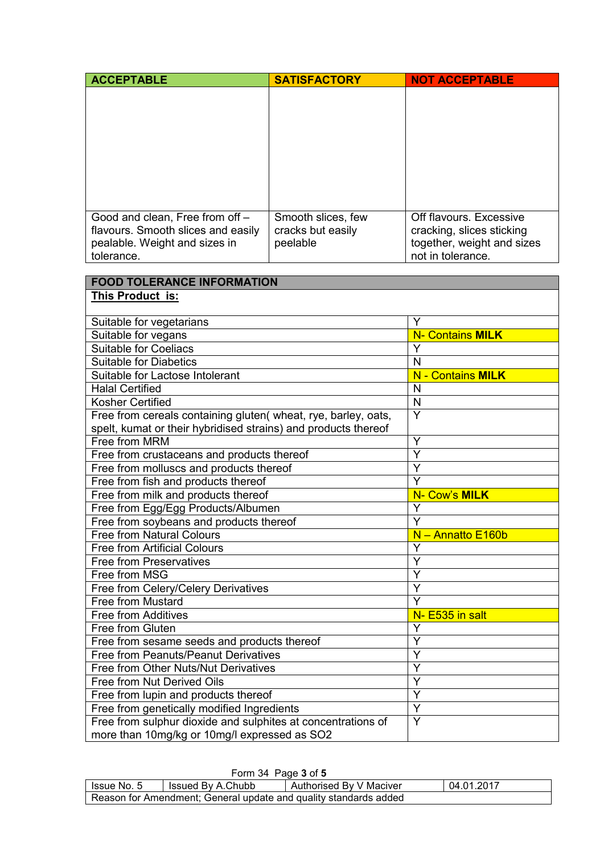| <b>ACCEPTABLE</b>                                                                                                    | <b>SATISFACTORY</b>                                 | <b>NOT ACCEPTABLE</b>                                                                                   |
|----------------------------------------------------------------------------------------------------------------------|-----------------------------------------------------|---------------------------------------------------------------------------------------------------------|
|                                                                                                                      |                                                     |                                                                                                         |
| Good and clean, Free from off -<br>flavours. Smooth slices and easily<br>pealable. Weight and sizes in<br>tolerance. | Smooth slices, few<br>cracks but easily<br>peelable | Off flavours. Excessive<br>cracking, slices sticking<br>together, weight and sizes<br>not in tolerance. |

| <b>FOOD TOLERANCE INFORMATION</b>                                                                            |                          |
|--------------------------------------------------------------------------------------------------------------|--------------------------|
| This Product is:                                                                                             |                          |
|                                                                                                              |                          |
| Suitable for vegetarians                                                                                     | Υ                        |
| Suitable for vegans                                                                                          | <b>N- Contains MILK</b>  |
| <b>Suitable for Coeliacs</b>                                                                                 | $\overline{Y}$           |
| <b>Suitable for Diabetics</b>                                                                                | N                        |
| Suitable for Lactose Intolerant                                                                              | <b>N</b> - Contains MILK |
| <b>Halal Certified</b>                                                                                       | N                        |
| <b>Kosher Certified</b>                                                                                      | N                        |
| Free from cereals containing gluten(wheat, rye, barley, oats,                                                | Y                        |
| spelt, kumat or their hybridised strains) and products thereof                                               |                          |
| Free from MRM                                                                                                | Y                        |
| Free from crustaceans and products thereof                                                                   | $\overline{Y}$           |
| Free from molluscs and products thereof                                                                      | Y                        |
| Free from fish and products thereof                                                                          | $\overline{Y}$           |
| Free from milk and products thereof                                                                          | N- Cow's MILK            |
| Free from Egg/Egg Products/Albumen                                                                           | Y                        |
| Free from soybeans and products thereof                                                                      | Y                        |
| <b>Free from Natural Colours</b>                                                                             | N - Annatto E160b        |
| <b>Free from Artificial Colours</b>                                                                          | Y                        |
| <b>Free from Preservatives</b>                                                                               | Y                        |
| Free from MSG                                                                                                | Y                        |
| Free from Celery/Celery Derivatives                                                                          | Ÿ                        |
| <b>Free from Mustard</b>                                                                                     | $\overline{\mathsf{Y}}$  |
| <b>Free from Additives</b>                                                                                   | N- E535 in salt          |
| Free from Gluten                                                                                             | Y                        |
| Free from sesame seeds and products thereof                                                                  | Y                        |
| Free from Peanuts/Peanut Derivatives                                                                         | Y                        |
| Free from Other Nuts/Nut Derivatives                                                                         | Y                        |
| Free from Nut Derived Oils                                                                                   | Y                        |
| Free from lupin and products thereof                                                                         | $\overline{\mathsf{Y}}$  |
| Free from genetically modified Ingredients                                                                   | Y                        |
| Free from sulphur dioxide and sulphites at concentrations of<br>more than 10mg/kg or 10mg/l expressed as SO2 | Y                        |

| Form 34 Page 3 of 5                                              |                   |                         |            |
|------------------------------------------------------------------|-------------------|-------------------------|------------|
| lssue No. 5                                                      | Issued By A.Chubb | Authorised By V Maciver | 04.01.2017 |
| Reason for Amendment; General update and quality standards added |                   |                         |            |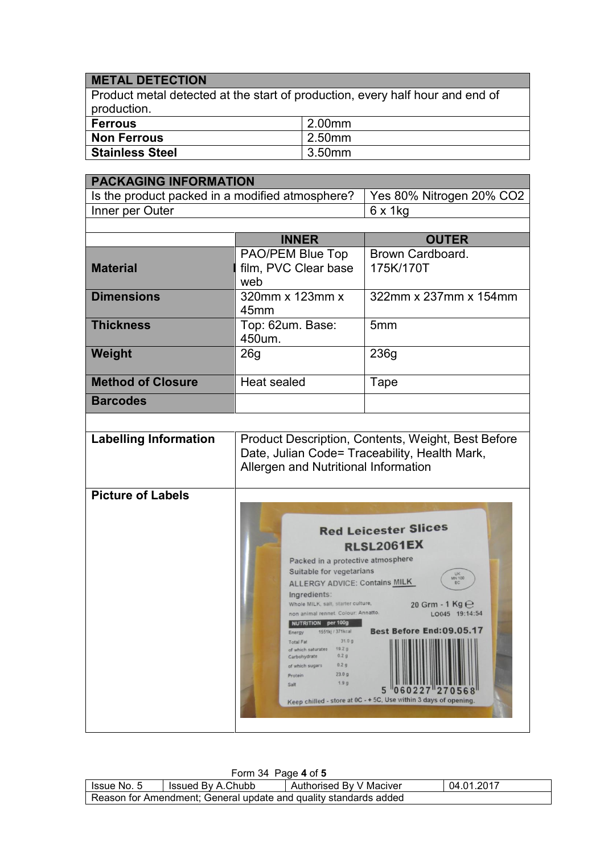## **METAL DETECTION**

Product metal detected at the start of production, every half hour and end of production.

| ∣ Ferrous              | 2.00mm |
|------------------------|--------|
| Non Ferrous            | 2.50mm |
| <b>Stainless Steel</b> | 3.50mm |

| <b>PACKAGING INFORMATION</b>                    |                                                                                                                                                                                                                                                                                                                                                                                                                                                                                                                                                                                                                                                                                    |                          |  |  |
|-------------------------------------------------|------------------------------------------------------------------------------------------------------------------------------------------------------------------------------------------------------------------------------------------------------------------------------------------------------------------------------------------------------------------------------------------------------------------------------------------------------------------------------------------------------------------------------------------------------------------------------------------------------------------------------------------------------------------------------------|--------------------------|--|--|
| Is the product packed in a modified atmosphere? |                                                                                                                                                                                                                                                                                                                                                                                                                                                                                                                                                                                                                                                                                    | Yes 80% Nitrogen 20% CO2 |  |  |
| Inner per Outer                                 |                                                                                                                                                                                                                                                                                                                                                                                                                                                                                                                                                                                                                                                                                    | 6 x 1kg                  |  |  |
|                                                 |                                                                                                                                                                                                                                                                                                                                                                                                                                                                                                                                                                                                                                                                                    |                          |  |  |
|                                                 | <b>INNER</b>                                                                                                                                                                                                                                                                                                                                                                                                                                                                                                                                                                                                                                                                       | <b>OUTER</b>             |  |  |
|                                                 | PAO/PEM Blue Top                                                                                                                                                                                                                                                                                                                                                                                                                                                                                                                                                                                                                                                                   | Brown Cardboard.         |  |  |
| <b>Material</b>                                 | film, PVC Clear base<br>web                                                                                                                                                                                                                                                                                                                                                                                                                                                                                                                                                                                                                                                        | 175K/170T                |  |  |
| <b>Dimensions</b>                               | 320mm x 123mm x<br>45mm                                                                                                                                                                                                                                                                                                                                                                                                                                                                                                                                                                                                                                                            | 322mm x 237mm x 154mm    |  |  |
| <b>Thickness</b>                                | Top: 62um. Base:<br>450um.                                                                                                                                                                                                                                                                                                                                                                                                                                                                                                                                                                                                                                                         | 5 <sub>mm</sub>          |  |  |
| Weight                                          | 26 <sub>g</sub>                                                                                                                                                                                                                                                                                                                                                                                                                                                                                                                                                                                                                                                                    | 236g                     |  |  |
| <b>Method of Closure</b>                        | <b>Heat sealed</b>                                                                                                                                                                                                                                                                                                                                                                                                                                                                                                                                                                                                                                                                 | Tape                     |  |  |
| <b>Barcodes</b>                                 |                                                                                                                                                                                                                                                                                                                                                                                                                                                                                                                                                                                                                                                                                    |                          |  |  |
|                                                 |                                                                                                                                                                                                                                                                                                                                                                                                                                                                                                                                                                                                                                                                                    |                          |  |  |
| <b>Labelling Information</b>                    | Product Description, Contents, Weight, Best Before<br>Date, Julian Code= Traceability, Health Mark,<br>Allergen and Nutritional Information                                                                                                                                                                                                                                                                                                                                                                                                                                                                                                                                        |                          |  |  |
| <b>Picture of Labels</b>                        | <b>Red Leicester Slices</b><br><b>RLSL2061EX</b><br>Packed in a protective atmosphere<br>Suitable for vegetarians<br>UK<br>MN 100<br><b>ALLERGY ADVICE: Contains MILK</b><br>Ingredients:<br>Whole MILK, salt, starter culture,<br>20 Grm - 1 Kg $\Theta$<br>non animal rennet. Colour: Annatto.<br>LO045 19:14:54<br><b>NUTRITION</b> per 100g<br>Best Before End: 09.05.17<br>1551kj / 371kcal<br>Energy<br>31.0 g<br><b>Total Fat</b><br>19.2g<br>of which saturates<br>0.2 <sub>g</sub><br>Carbohydrate<br>0.2 <sub>g</sub><br>of which sugars<br>23.0 <sub>g</sub><br>Protein<br>1.9 <sub>g</sub><br>Salt<br>Keep chilled - store at 0C - + 5C, Use within 3 days of opening. |                          |  |  |

| Form 34 Page 4 of 5                                              |                   |                         |            |  |  |
|------------------------------------------------------------------|-------------------|-------------------------|------------|--|--|
| Issue No. 5                                                      | Issued By A.Chubb | Authorised By V Maciver | 04.01.2017 |  |  |
| Reason for Amendment; General update and quality standards added |                   |                         |            |  |  |